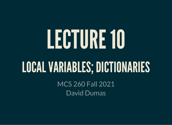# LECTURE10

### LOCALVARIABLES;DICTIONARIES

MCS 260 Fall 2021 David Dumas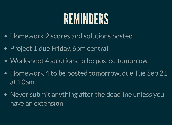### REMINDERS

- Homework 2 scores and solutions posted
- Project 1 due Friday, 6pm central
- Worksheet 4 solutions to be posted tomorrow
- Homework 4 to be posted tomorrow, due Tue Sep 21 at 10am
- Never submit anything after the deadline unless you have an extension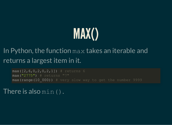

#### In Python, the function max takes an iterable and returns a largest item in it.

 $max([2, 6, 0, 2, 0, 2, 1])$  # returns 6 max("2775") # returns "7" max(range(10\_000)) # very slow way to get the number 9999

There is also min().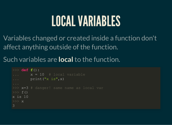### LOCALVARIABLES

Variables changed or created inside a function don't affect anything outside of the function.

Such variables are **local** to the function.

```
>>> def f():
\overline{\mathbf{x}} = 10 # local variable
... print("x is",x)
>>> x=3 # danger! same name as local var
>> f()
x is 10
>>> x
3
```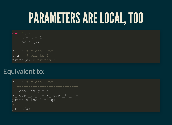### PARAMETERSARE LOCAL, TOO

**def g**(x):  $x = x + 1$  print(x)  $a = 5$  # global var

 $g(a)$  # prints 6 print(a) # prints 5

#### Equivalent to:

```
a = 5 # global var
x local to q = ax local to g = x local to g + 1print(x_local_to_g)
print(a)
```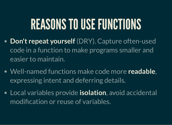# REASONS TO USE FUNCTIONS

- **Don't repeat yourself** (DRY). Capture often-used code in a function to make programs smaller and easier to maintain.
- Well-named functions make code more **readable**, expressing intent and deferring details.
- Local variables provide **isolation**, avoid accidental modification or reuse of variables.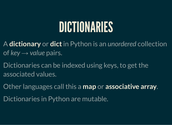# DICTIONARIES

- A **dictionary** or **dict**in Python is an *unordered* collection of *key → value* pairs.
- Dictionaries can be indexed using keys, to get the associated values.
- Other languages call this a **map** or **associative array**.
- Dictionaries in Python are mutable.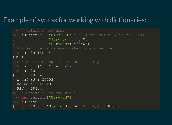#### Example of syntax for working with dictionaries:

```
>>> # define a new dict
>>> tuition = { "UIC": 10584, # key "UIC" -> value 10584
... "Stanford": 50703, 
... "Harvard": 46340 }
>>> # Get the value associated to a given key
>> tuition ["UIC"]
10584
>> tuition["PSU"] = 18454
>>> tuition
{'UIC': 10584, 
 'Stanford': 50703, 
  'Harvard': 46340, 
  'PSU': 18454}
>>> # Remove a key and value
>>> del tuition["Harvard"]
>>> tuition
{'UIC': 10584, 'Stanford': 50703, 'PSU': 18454}
```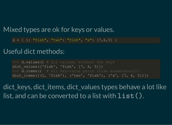#### Mixed types are ok for keys or values.

 $d = \{ 1: "fish", "two": "fish", "xi" ; [7, 6, 5] \}$ 

#### Useful dict methods:

```
\Rightarrow d.values() # All values, without the keys
dict values([ 'fish', 'fish', '7, 6, 5]])
\Rightarrow d.items() # All key-value pairs (like enumerate(L))
dict items([(1, 'fish'), ('two', 'fish'), ('x', [7, 6, 5])))
```
dict keys, dict items, dict values types behave a lot like list, and can be converted to a list with  $list()$ .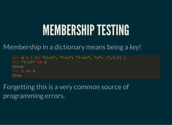# MEMBERSHIP TESTING

Membership in a dictionary means being a *key*!

```
>> d = \{ 1: "fish", "two": "fish", "x": [7, 6, 5] \}>>> "fish" in d
False
>>> 1 in d
True
```
Forgetting this is a very common source of programming errors.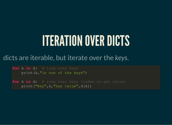# ITERATION OVER DICTS

#### dicts are iterable, but iterate over the *keys*.

**for** k **in** d: # loop over keys print(k,"is one of the keys")

**for** k **in** d: # loop over keys (index to get value) print("Key",k,"has value",d[k])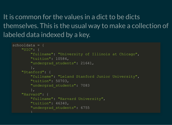It is common for the values in a dict to be dicts themselves. This is the usual way to make a collection of labeled data indexed by a key.

```
schooldata = {
     "UIC": {
         "fullname": "University of Illinois at Chicago",
         "tuition": 10584,
        "undergrad students": 21641,
         },
     "Stanford": {
         "fullname": "Leland Stanford Junior University",
         "tuition": 50703,
         "undergrad_students": 7083
         },
     "Harvard": {
         "fullname": "Harvard University",
         "tuition": 46340,
         "undergrad_students": 6755
```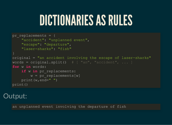# DICTIONARIES AS RULES

```
pr replacements = \{ "accident": "unplanned event",
     "escape": "departure",
     "laser-sharks": "fish"
original = "an accident involving the escape of laser-sharks"
words = original.split() # [ "an", "accident", ... ]
for w in words:
    if w in pr replacements:
        w = pr replacements[w]
     print(w,end=" ")
print()
```
#### Output:

an unplanned event involving the departure of fish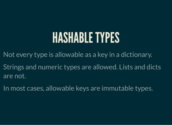### HASHABLETYPES

Not every type is allowable as a key in a dictionary.

Strings and numeric types are allowed. Lists and dicts are not.

In most cases, allowable keys are immutable types.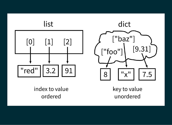



index to value ordered

key to value unordered